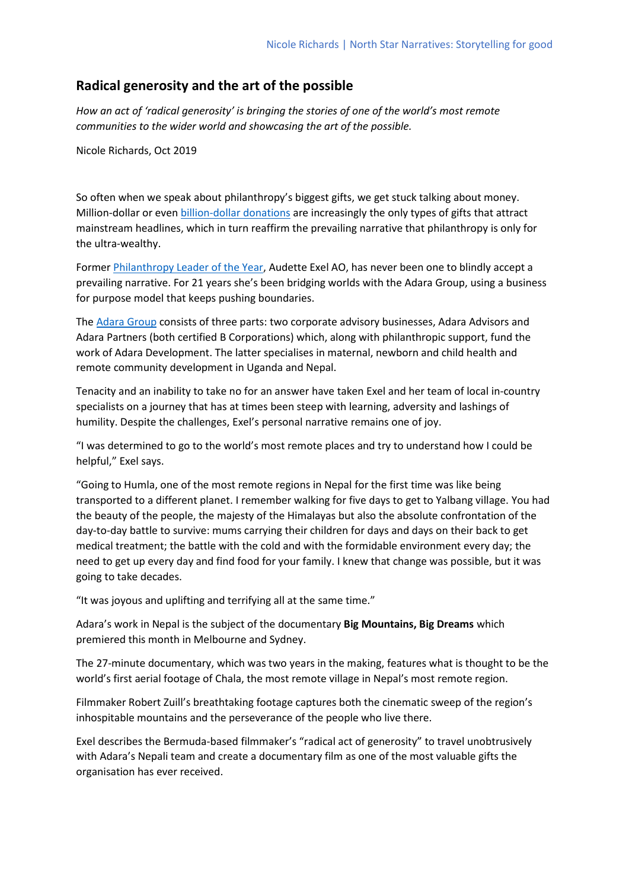## **Radical generosity and the art of the possible**

*How an act of 'radical generosity' is bringing the stories of one of the world's most remote communities to the wider world and showcasing the art of the possible.* 

Nicole Richards, Oct 2019

So often when we speak about philanthropy's biggest gifts, we get stuck talking about money. Million-dollar or even [billion-dollar donations](https://time.com/5690596/melinda-gates-empowering-women/) are increasingly the only types of gifts that attract mainstream headlines, which in turn reaffirm the prevailing narrative that philanthropy is only for the ultra-wealthy.

Former [Philanthropy Leader of the Year,](https://www.philanthropy.org.au/awards/2016-philanthropy-awards) Audette Exel AO, has never been one to blindly accept a prevailing narrative. For 21 years she's been bridging worlds with the Adara Group, using a business for purpose model that keeps pushing boundaries.

The [Adara Group](https://www.adaragroup.org/) consists of three parts: two corporate advisory businesses, Adara Advisors and Adara Partners (both certified B Corporations) which, along with philanthropic support, fund the work of Adara Development. The latter specialises in maternal, newborn and child health and remote community development in Uganda and Nepal.

Tenacity and an inability to take no for an answer have taken Exel and her team of local in-country specialists on a journey that has at times been steep with learning, adversity and lashings of humility. Despite the challenges, Exel's personal narrative remains one of joy.

"I was determined to go to the world's most remote places and try to understand how I could be helpful," Exel says.

"Going to Humla, one of the most remote regions in Nepal for the first time was like being transported to a different planet. I remember walking for five days to get to Yalbang village. You had the beauty of the people, the majesty of the Himalayas but also the absolute confrontation of the day-to-day battle to survive: mums carrying their children for days and days on their back to get medical treatment; the battle with the cold and with the formidable environment every day; the need to get up every day and find food for your family. I knew that change was possible, but it was going to take decades.

"It was joyous and uplifting and terrifying all at the same time."

Adara's work in Nepal is the subject of the documentary **Big Mountains, Big Dreams** which premiered this month in Melbourne and Sydney.

The 27-minute documentary, which was two years in the making, features what is thought to be the world's first aerial footage of Chala, the most remote village in Nepal's most remote region.

Filmmaker Robert Zuill's breathtaking footage captures both the cinematic sweep of the region's inhospitable mountains and the perseverance of the people who live there.

Exel describes the Bermuda-based filmmaker's "radical act of generosity" to travel unobtrusively with Adara's Nepali team and create a documentary film as one of the most valuable gifts the organisation has ever received.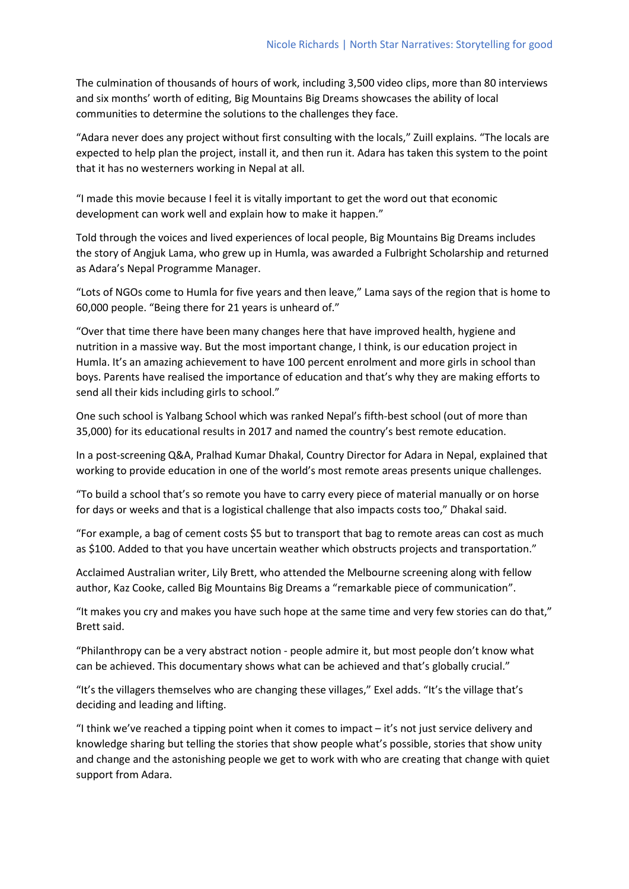The culmination of thousands of hours of work, including 3,500 video clips, more than 80 interviews and six months' worth of editing, Big Mountains Big Dreams showcases the ability of local communities to determine the solutions to the challenges they face.

"Adara never does any project without first consulting with the locals," Zuill explains. "The locals are expected to help plan the project, install it, and then run it. Adara has taken this system to the point that it has no westerners working in Nepal at all.

"I made this movie because I feel it is vitally important to get the word out that economic development can work well and explain how to make it happen."

Told through the voices and lived experiences of local people, Big Mountains Big Dreams includes the story of Angjuk Lama, who grew up in Humla, was awarded a Fulbright Scholarship and returned as Adara's Nepal Programme Manager.

"Lots of NGOs come to Humla for five years and then leave," Lama says of the region that is home to 60,000 people. "Being there for 21 years is unheard of."

"Over that time there have been many changes here that have improved health, hygiene and nutrition in a massive way. But the most important change, I think, is our education project in Humla. It's an amazing achievement to have 100 percent enrolment and more girls in school than boys. Parents have realised the importance of education and that's why they are making efforts to send all their kids including girls to school."

One such school is Yalbang School which was ranked Nepal's fifth-best school (out of more than 35,000) for its educational results in 2017 and named the country's best remote education.

In a post-screening Q&A, Pralhad Kumar Dhakal, Country Director for Adara in Nepal, explained that working to provide education in one of the world's most remote areas presents unique challenges.

"To build a school that's so remote you have to carry every piece of material manually or on horse for days or weeks and that is a logistical challenge that also impacts costs too," Dhakal said.

"For example, a bag of cement costs \$5 but to transport that bag to remote areas can cost as much as \$100. Added to that you have uncertain weather which obstructs projects and transportation."

Acclaimed Australian writer, Lily Brett, who attended the Melbourne screening along with fellow author, Kaz Cooke, called Big Mountains Big Dreams a "remarkable piece of communication".

"It makes you cry and makes you have such hope at the same time and very few stories can do that," Brett said.

"Philanthropy can be a very abstract notion - people admire it, but most people don't know what can be achieved. This documentary shows what can be achieved and that's globally crucial."

"It's the villagers themselves who are changing these villages," Exel adds. "It's the village that's deciding and leading and lifting.

"I think we've reached a tipping point when it comes to impact – it's not just service delivery and knowledge sharing but telling the stories that show people what's possible, stories that show unity and change and the astonishing people we get to work with who are creating that change with quiet support from Adara.